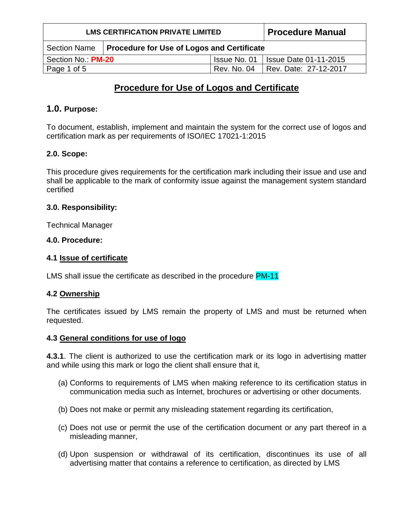| <b>LMS CERTIFICATION PRIVATE LIMITED</b> |                                                   |              | <b>Procedure Manual</b>        |
|------------------------------------------|---------------------------------------------------|--------------|--------------------------------|
| <b>Section Name</b>                      | <b>Procedure for Use of Logos and Certificate</b> |              |                                |
| Section No.: PM-20                       |                                                   | Issue No. 01 | <b>I Issue Date 01-11-2015</b> |
| Page 1 of 5                              |                                                   | Rev. No. 04  | Rev. Date: 27-12-2017          |

# **Procedure for Use of Logos and Certificate**

# **1.0. Purpose:**

To document, establish, implement and maintain the system for the correct use of logos and certification mark as per requirements of ISO/IEC 17021-1:2015

# **2.0. Scope:**

This procedure gives requirements for the certification mark including their issue and use and shall be applicable to the mark of conformity issue against the management system standard certified

# **3.0. Responsibility:**

Technical Manager

#### **4.0. Procedure:**

#### **4.1 Issue of certificate**

LMS shall issue the certificate as described in the procedure PM-11

# **4.2 Ownership**

The certificates issued by LMS remain the property of LMS and must be returned when requested.

#### **4.3 General conditions for use of logo**

**4.3.1**. The client is authorized to use the certification mark or its logo in advertising matter and while using this mark or logo the client shall ensure that it,

- (a) Conforms to requirements of LMS when making reference to its certification status in communication media such as Internet, brochures or advertising or other documents.
- (b) Does not make or permit any misleading statement regarding its certification,
- (c) Does not use or permit the use of the certification document or any part thereof in a misleading manner,
- (d) Upon suspension or withdrawal of its certification, discontinues its use of all advertising matter that contains a reference to certification, as directed by LMS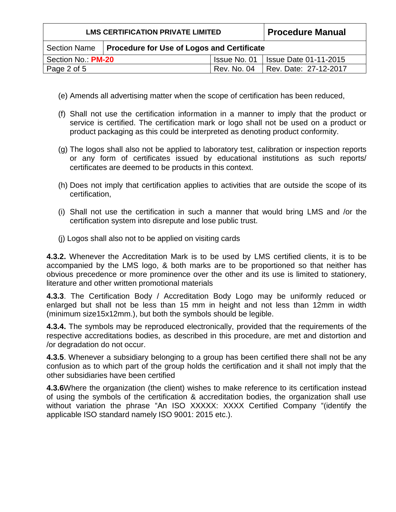| <b>LMS CERTIFICATION PRIVATE LIMITED</b> |                                                           |              | <b>Procedure Manual</b>             |
|------------------------------------------|-----------------------------------------------------------|--------------|-------------------------------------|
|                                          | Section Name   Procedure for Use of Logos and Certificate |              |                                     |
| Section No.: PM-20                       |                                                           | Issue No. 01 | <b>Issue Date 01-11-2015</b>        |
| Page 2 of 5                              |                                                           |              | Rev. No. 04   Rev. Date: 27-12-2017 |

- (e) Amends all advertising matter when the scope of certification has been reduced,
- (f) Shall not use the certification information in a manner to imply that the product or service is certified. The certification mark or logo shall not be used on a product or product packaging as this could be interpreted as denoting product conformity.
- (g) The logos shall also not be applied to laboratory test, calibration or inspection reports or any form of certificates issued by educational institutions as such reports/ certificates are deemed to be products in this context.
- (h) Does not imply that certification applies to activities that are outside the scope of its certification,
- (i) Shall not use the certification in such a manner that would bring LMS and /or the certification system into disrepute and lose public trust.
- (j) Logos shall also not to be applied on visiting cards

**4.3.2.** Whenever the Accreditation Mark is to be used by LMS certified clients, it is to be accompanied by the LMS logo, & both marks are to be proportioned so that neither has obvious precedence or more prominence over the other and its use is limited to stationery, literature and other written promotional materials

**4.3.3**. The Certification Body / Accreditation Body Logo may be uniformly reduced or enlarged but shall not be less than 15 mm in height and not less than 12mm in width (minimum size15x12mm.), but both the symbols should be legible.

**4.3.4.** The symbols may be reproduced electronically, provided that the requirements of the respective accreditations bodies, as described in this procedure, are met and distortion and /or degradation do not occur.

**4.3.5**. Whenever a subsidiary belonging to a group has been certified there shall not be any confusion as to which part of the group holds the certification and it shall not imply that the other subsidiaries have been certified

**4.3.6**Where the organization (the client) wishes to make reference to its certification instead of using the symbols of the certification & accreditation bodies, the organization shall use without variation the phrase "An ISO XXXXX: XXXX Certified Company "(identify the applicable ISO standard namely ISO 9001: 2015 etc.).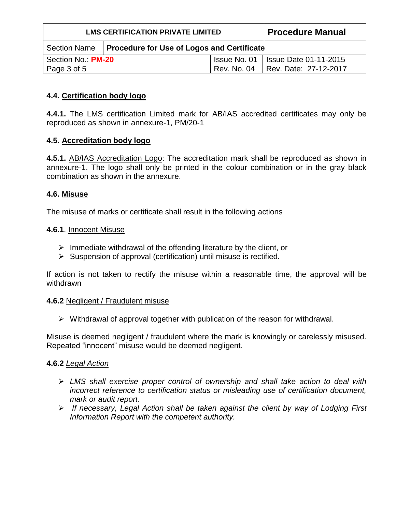| <b>LMS CERTIFICATION PRIVATE LIMITED</b> |                                            |              | <b>Procedure Manual</b>      |
|------------------------------------------|--------------------------------------------|--------------|------------------------------|
| <b>Section Name</b>                      | Procedure for Use of Logos and Certificate |              |                              |
| Section No.: PM-20                       |                                            | Issue No. 01 | <b>Issue Date 01-11-2015</b> |
| Page 3 of 5                              |                                            | Rev. No. 04  | Rev. Date: 27-12-2017        |

# **4.4. Certification body logo**

**4.4.1.** The LMS certification Limited mark for AB/IAS accredited certificates may only be reproduced as shown in annexure-1, PM/20-1

# **4.5. Accreditation body logo**

**4.5.1.** AB/IAS Accreditation Logo: The accreditation mark shall be reproduced as shown in annexure-1. The logo shall only be printed in the colour combination or in the gray black combination as shown in the annexure.

# **4.6. Misuse**

The misuse of marks or certificate shall result in the following actions

# **4.6.1**. Innocent Misuse

- $\triangleright$  Immediate withdrawal of the offending literature by the client, or
- ➢ Suspension of approval (certification) until misuse is rectified.

If action is not taken to rectify the misuse within a reasonable time, the approval will be withdrawn

# **4.6.2** Negligent / Fraudulent misuse

➢ Withdrawal of approval together with publication of the reason for withdrawal.

Misuse is deemed negligent / fraudulent where the mark is knowingly or carelessly misused. Repeated "innocent" misuse would be deemed negligent.

# **4.6.2** *Legal Action*

- ➢ *LMS shall exercise proper control of ownership and shall take action to deal with incorrect reference to certification status or misleading use of certification document, mark or audit report.*
- ➢ *If necessary, Legal Action shall be taken against the client by way of Lodging First Information Report with the competent authority.*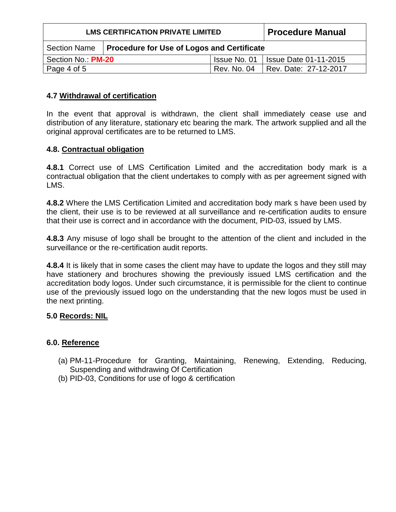| <b>LMS CERTIFICATION PRIVATE LIMITED</b> |                                                   |              | <b>Procedure Manual</b>      |
|------------------------------------------|---------------------------------------------------|--------------|------------------------------|
| <b>Section Name</b>                      | <b>Procedure for Use of Logos and Certificate</b> |              |                              |
| Section No.: PM-20                       |                                                   | Issue No. 01 | <b>Issue Date 01-11-2015</b> |
| Page 4 of 5                              |                                                   | Rev. No. 04  | Rev. Date: 27-12-2017        |

# **4.7 Withdrawal of certification**

In the event that approval is withdrawn, the client shall immediately cease use and distribution of any literature, stationary etc bearing the mark. The artwork supplied and all the original approval certificates are to be returned to LMS.

# **4.8. Contractual obligation**

**4.8.1** Correct use of LMS Certification Limited and the accreditation body mark is a contractual obligation that the client undertakes to comply with as per agreement signed with I MS.

**4.8.2** Where the LMS Certification Limited and accreditation body mark s have been used by the client, their use is to be reviewed at all surveillance and re-certification audits to ensure that their use is correct and in accordance with the document, PID-03, issued by LMS.

**4.8.3** Any misuse of logo shall be brought to the attention of the client and included in the surveillance or the re-certification audit reports.

**4.8.4** It is likely that in some cases the client may have to update the logos and they still may have stationery and brochures showing the previously issued LMS certification and the accreditation body logos. Under such circumstance, it is permissible for the client to continue use of the previously issued logo on the understanding that the new logos must be used in the next printing.

# **5.0 Records: NIL**

# **6.0. Reference**

- (a) PM-11-Procedure for Granting, Maintaining, Renewing, Extending, Reducing, Suspending and withdrawing Of Certification
- (b) PID-03, Conditions for use of logo & certification